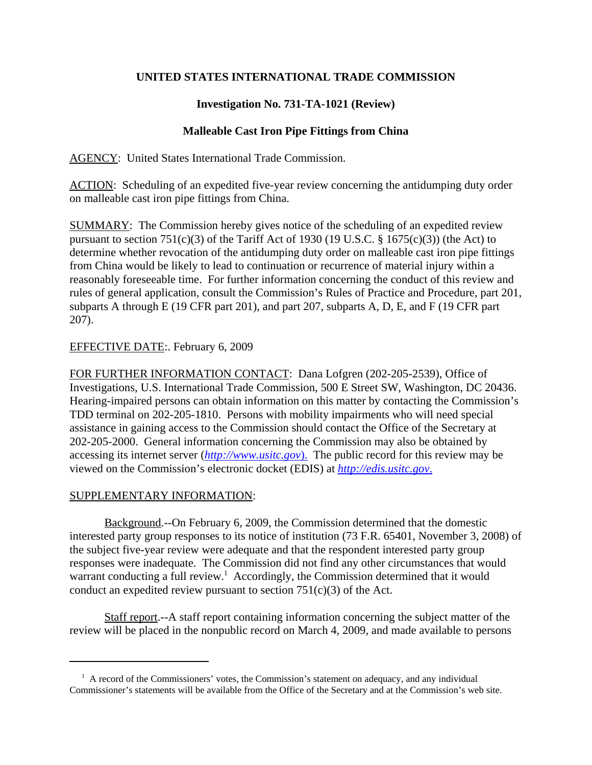## **UNITED STATES INTERNATIONAL TRADE COMMISSION**

# **Investigation No. 731-TA-1021 (Review)**

## **Malleable Cast Iron Pipe Fittings from China**

AGENCY: United States International Trade Commission.

ACTION: Scheduling of an expedited five-year review concerning the antidumping duty order on malleable cast iron pipe fittings from China.

SUMMARY: The Commission hereby gives notice of the scheduling of an expedited review pursuant to section 751(c)(3) of the Tariff Act of 1930 (19 U.S.C.  $\S$  1675(c)(3)) (the Act) to determine whether revocation of the antidumping duty order on malleable cast iron pipe fittings from China would be likely to lead to continuation or recurrence of material injury within a reasonably foreseeable time. For further information concerning the conduct of this review and rules of general application, consult the Commission's Rules of Practice and Procedure, part 201, subparts A through E (19 CFR part 201), and part 207, subparts A, D, E, and F (19 CFR part 207).

## EFFECTIVE DATE:. February 6, 2009

FOR FURTHER INFORMATION CONTACT: Dana Lofgren (202-205-2539), Office of Investigations, U.S. International Trade Commission, 500 E Street SW, Washington, DC 20436. Hearing-impaired persons can obtain information on this matter by contacting the Commission's TDD terminal on 202-205-1810. Persons with mobility impairments who will need special assistance in gaining access to the Commission should contact the Office of the Secretary at 202-205-2000. General information concerning the Commission may also be obtained by accessing its internet server (*http://www.usitc.gov*). The public record for this review may be viewed on the Commission's electronic docket (EDIS) at *http://edis.usitc.gov*.

## SUPPLEMENTARY INFORMATION:

Background.--On February 6, 2009, the Commission determined that the domestic interested party group responses to its notice of institution (73 F.R. 65401, November 3, 2008) of the subject five-year review were adequate and that the respondent interested party group responses were inadequate. The Commission did not find any other circumstances that would warrant conducting a full review.<sup>1</sup> Accordingly, the Commission determined that it would conduct an expedited review pursuant to section  $751(c)(3)$  of the Act.

Staff report.--A staff report containing information concerning the subject matter of the review will be placed in the nonpublic record on March 4, 2009, and made available to persons

<sup>&</sup>lt;sup>1</sup> A record of the Commissioners' votes, the Commission's statement on adequacy, and any individual Commissioner's statements will be available from the Office of the Secretary and at the Commission's web site.